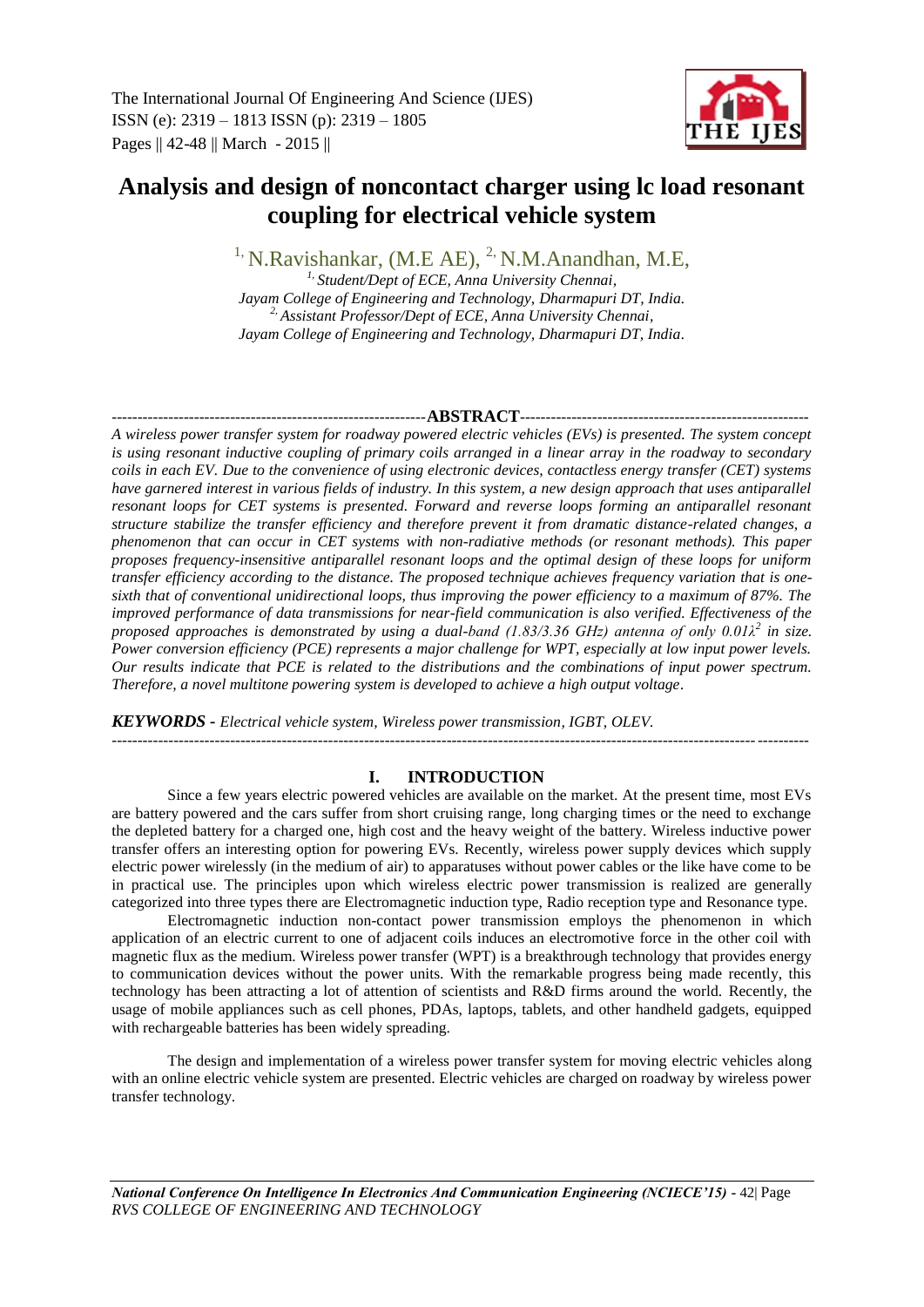

# **Analysis and design of noncontact charger using lc load resonant coupling for electrical vehicle system**

 $1, N.Ravishankar$ , (M.E AE),  $2, N.M.Anandhan, M.E$ ,

*1, Student/Dept of ECE, Anna University Chennai, Jayam College of Engineering and Technology, Dharmapuri DT, India. 2, Assistant Professor/Dept of ECE, Anna University Chennai, Jayam College of Engineering and Technology, Dharmapuri DT, India.*

#### -------------------------------------------------------------**ABSTRACT**--------------------------------------------------------

*A wireless power transfer system for roadway powered electric vehicles (EVs) is presented. The system concept is using resonant inductive coupling of primary coils arranged in a linear array in the roadway to secondary coils in each EV. Due to the convenience of using electronic devices, contactless energy transfer (CET) systems have garnered interest in various fields of industry. In this system, a new design approach that uses antiparallel resonant loops for CET systems is presented. Forward and reverse loops forming an antiparallel resonant structure stabilize the transfer efficiency and therefore prevent it from dramatic distance-related changes, a phenomenon that can occur in CET systems with non-radiative methods (or resonant methods). This paper proposes frequency-insensitive antiparallel resonant loops and the optimal design of these loops for uniform transfer efficiency according to the distance. The proposed technique achieves frequency variation that is onesixth that of conventional unidirectional loops, thus improving the power efficiency to a maximum of 87%. The improved performance of data transmissions for near-field communication is also verified. Effectiveness of the proposed approaches is demonstrated by using a dual-band (1.83/3.36 GHz) antenna of only 0.01λ<sup>2</sup> in size. Power conversion efficiency (PCE) represents a major challenge for WPT, especially at low input power levels. Our results indicate that PCE is related to the distributions and the combinations of input power spectrum. Therefore, a novel multitone powering system is developed to achieve a high output voltage.*

*KEYWORDS - Electrical vehicle system, Wireless power transmission, IGBT, OLEV.*

 $-1\leq i\leq n-1\leq n-1\leq n-1\leq n-1\leq n-1\leq n-1\leq n-1\leq n-1\leq n-1\leq n-1\leq n-1\leq n-1\leq n-1\leq n-1\leq n-1\leq n-1\leq n-1\leq n-1\leq n-1\leq n-1\leq n-1\leq n-1\leq n-1\leq n-1\leq n-1\leq n-1\leq n-1\leq n-1\leq n-1\leq n-1\leq n-1\leq n-1\leq n-1\leq n-1\leq n-1\leq n$ 

## **I. INTRODUCTION**

Since a few years electric powered vehicles are available on the market. At the present time, most EVs are battery powered and the cars suffer from short cruising range, long charging times or the need to exchange the depleted battery for a charged one, high cost and the heavy weight of the battery. Wireless inductive power transfer offers an interesting option for powering EVs. Recently, wireless power supply devices which supply electric power wirelessly (in the medium of air) to apparatuses without power cables or the like have come to be in practical use. The principles upon which wireless electric power transmission is realized are generally categorized into three types there are Electromagnetic induction type, Radio reception type and Resonance type.

Electromagnetic induction non-contact power transmission employs the phenomenon in which application of an electric current to one of adjacent coils induces an electromotive force in the other coil with magnetic flux as the medium. Wireless power transfer (WPT) is a breakthrough technology that provides energy to communication devices without the power units. With the remarkable progress being made recently, this technology has been attracting a lot of attention of scientists and R&D firms around the world. Recently, the usage of mobile appliances such as cell phones, PDAs, laptops, tablets, and other handheld gadgets, equipped with rechargeable batteries has been widely spreading.

The design and implementation of a wireless power transfer system for moving electric vehicles along with an online electric vehicle system are presented. Electric vehicles are charged on roadway by wireless power transfer technology.

*National Conference On Intelligence In Electronics And Communication Engineering (NCIECE'15) -* 42| Page *RVS COLLEGE OF ENGINEERING AND TECHNOLOGY*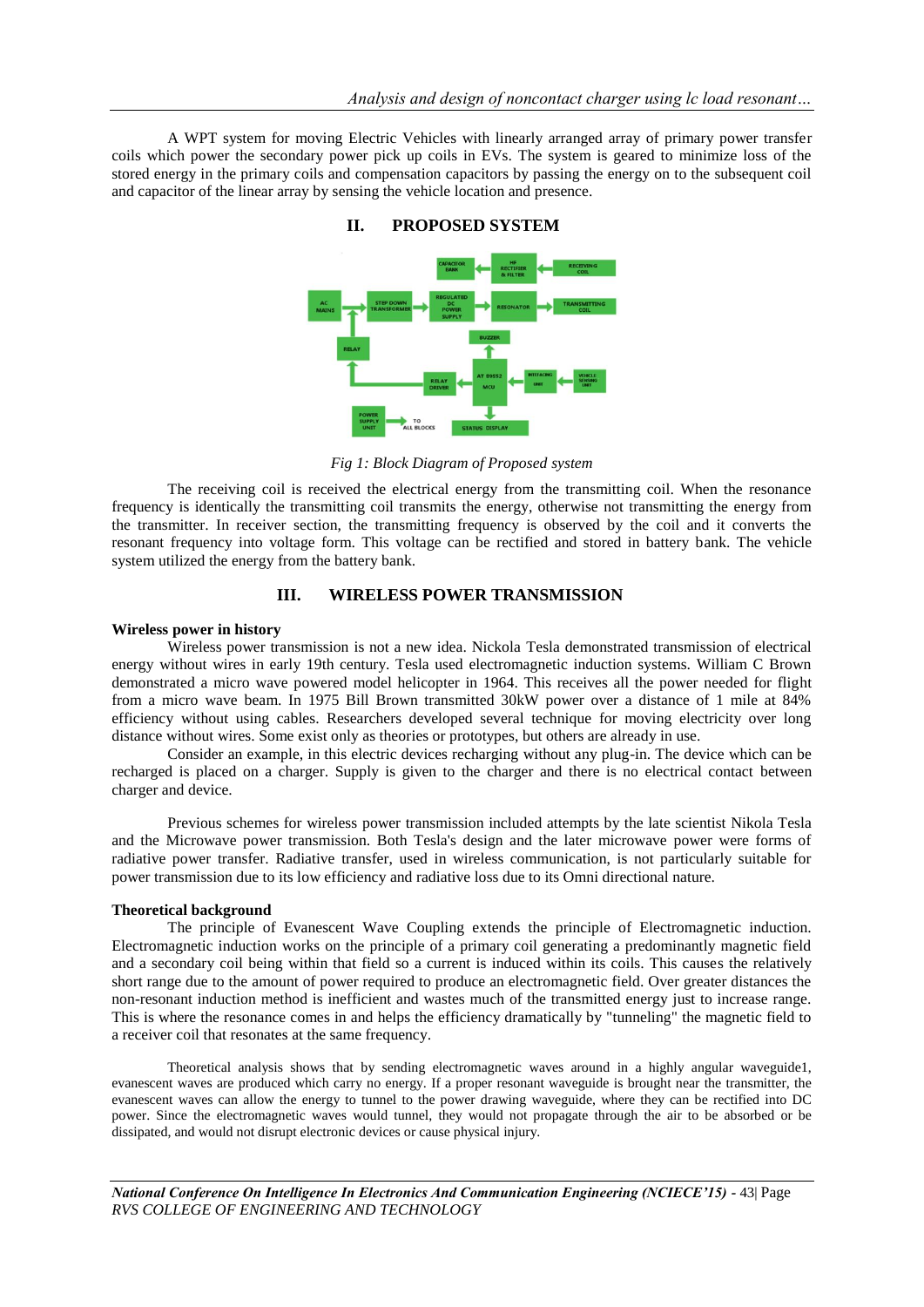A WPT system for moving Electric Vehicles with linearly arranged array of primary power transfer coils which power the secondary power pick up coils in EVs. The system is geared to minimize loss of the stored energy in the primary coils and compensation capacitors by passing the energy on to the subsequent coil and capacitor of the linear array by sensing the vehicle location and presence.



#### **II. PROPOSED SYSTEM**

*Fig 1: Block Diagram of Proposed system*

The receiving coil is received the electrical energy from the transmitting coil. When the resonance frequency is identically the transmitting coil transmits the energy, otherwise not transmitting the energy from the transmitter. In receiver section, the transmitting frequency is observed by the coil and it converts the resonant frequency into voltage form. This voltage can be rectified and stored in battery bank. The vehicle system utilized the energy from the battery bank.

# **III. WIRELESS POWER TRANSMISSION**

#### **Wireless power in history**

Wireless power transmission is not a new idea. Nickola Tesla demonstrated transmission of electrical energy without wires in early 19th century. Tesla used electromagnetic induction systems. William C Brown demonstrated a micro wave powered model helicopter in 1964. This receives all the power needed for flight from a micro wave beam. In 1975 Bill Brown transmitted 30kW power over a distance of 1 mile at 84% efficiency without using cables. Researchers developed several technique for moving electricity over long distance without wires. Some exist only as theories or prototypes, but others are already in use.

Consider an example, in this electric devices recharging without any plug-in. The device which can be recharged is placed on a charger. Supply is given to the charger and there is no electrical contact between charger and device.

Previous schemes for wireless power transmission included attempts by the late scientist Nikola Tesla and the Microwave power transmission. Both Tesla's design and the later microwave power were forms of radiative power transfer. Radiative transfer, used in wireless communication, is not particularly suitable for power transmission due to its low efficiency and radiative loss due to its Omni directional nature.

#### **Theoretical background**

The principle of Evanescent Wave Coupling extends the principle of Electromagnetic induction. Electromagnetic induction works on the principle of a primary coil generating a predominantly magnetic field and a secondary coil being within that field so a current is induced within its coils. This causes the relatively short range due to the amount of power required to produce an electromagnetic field. Over greater distances the non-resonant induction method is inefficient and wastes much of the transmitted energy just to increase range. This is where the resonance comes in and helps the efficiency dramatically by "tunneling" the magnetic field to a receiver coil that resonates at the same frequency.

Theoretical analysis shows that by sending electromagnetic waves around in a highly angular waveguide1, evanescent waves are produced which carry no energy. If a proper resonant waveguide is brought near the transmitter, the evanescent waves can allow the energy to tunnel to the power drawing waveguide, where they can be rectified into DC power. Since the electromagnetic waves would tunnel, they would not propagate through the air to be absorbed or be dissipated, and would not disrupt electronic devices or cause physical injury.

*National Conference On Intelligence In Electronics And Communication Engineering (NCIECE'15) -* 43| Page *RVS COLLEGE OF ENGINEERING AND TECHNOLOGY*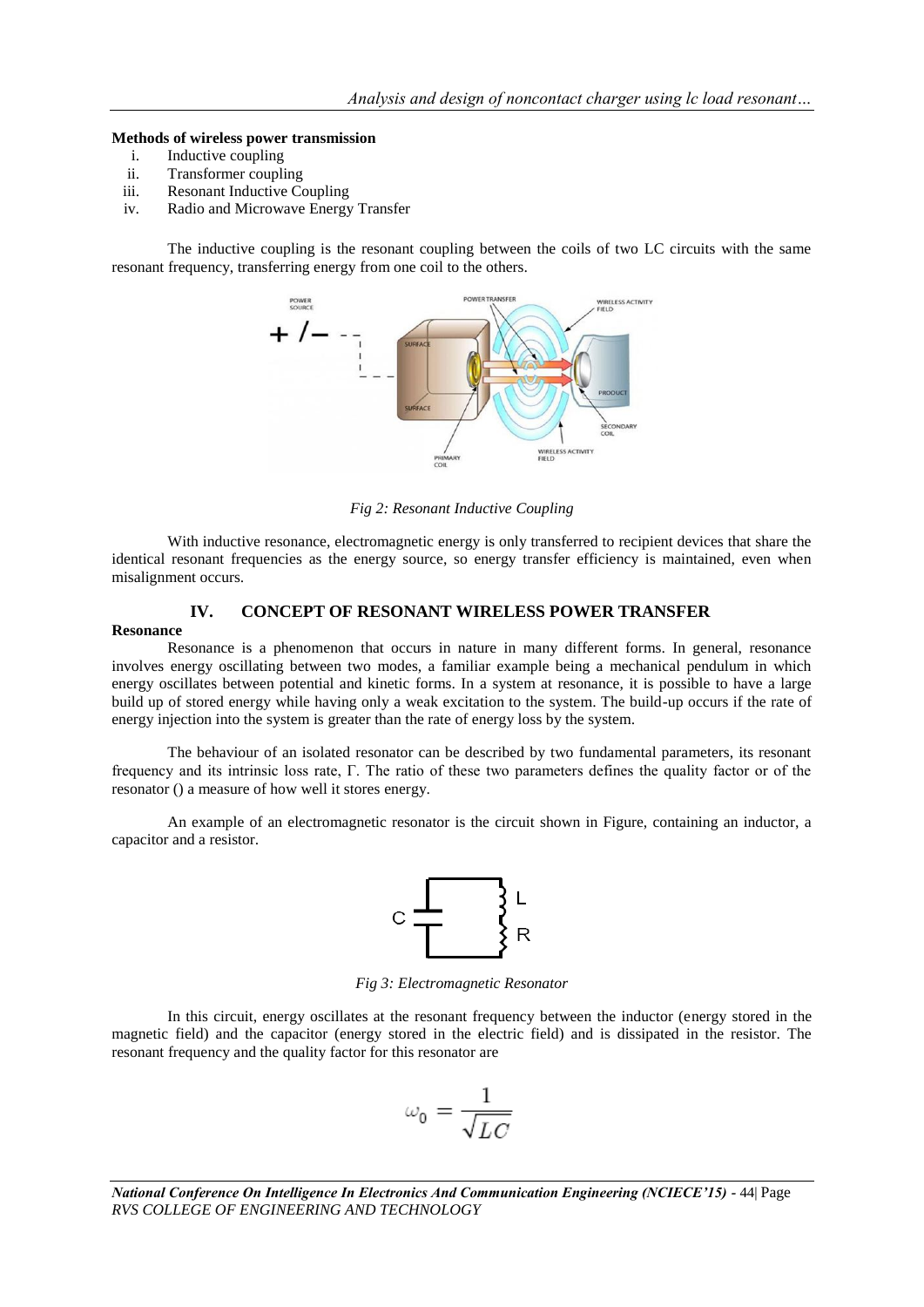#### **Methods of wireless power transmission**

- i. Inductive coupling
- ii. Transformer coupling
- iii. Resonant Inductive Coupling
- iv. Radio and Microwave Energy Transfer

The inductive coupling is the resonant coupling between the coils of two LC circuits with the same resonant frequency, transferring energy from one coil to the others.



*Fig 2: Resonant Inductive Coupling*

With inductive resonance, electromagnetic energy is only transferred to recipient devices that share the identical resonant frequencies as the energy source, so energy transfer efficiency is maintained, even when misalignment occurs.

#### **IV. CONCEPT OF RESONANT WIRELESS POWER TRANSFER**

#### **Resonance**

Resonance is a phenomenon that occurs in nature in many different forms. In general, resonance involves energy oscillating between two modes, a familiar example being a mechanical pendulum in which energy oscillates between potential and kinetic forms. In a system at resonance, it is possible to have a large build up of stored energy while having only a weak excitation to the system. The build-up occurs if the rate of energy injection into the system is greater than the rate of energy loss by the system.

The behaviour of an isolated resonator can be described by two fundamental parameters, its resonant frequency and its intrinsic loss rate, Γ. The ratio of these two parameters defines the quality factor or of the resonator () a measure of how well it stores energy.

An example of an electromagnetic resonator is the circuit shown in Figure, containing an inductor, a capacitor and a resistor.



*Fig 3: Electromagnetic Resonator*

In this circuit, energy oscillates at the resonant frequency between the inductor (energy stored in the magnetic field) and the capacitor (energy stored in the electric field) and is dissipated in the resistor. The resonant frequency and the quality factor for this resonator are

$$
\omega_0 = \frac{1}{\sqrt{LC}}
$$

*National Conference On Intelligence In Electronics And Communication Engineering (NCIECE'15) -* 44| Page *RVS COLLEGE OF ENGINEERING AND TECHNOLOGY*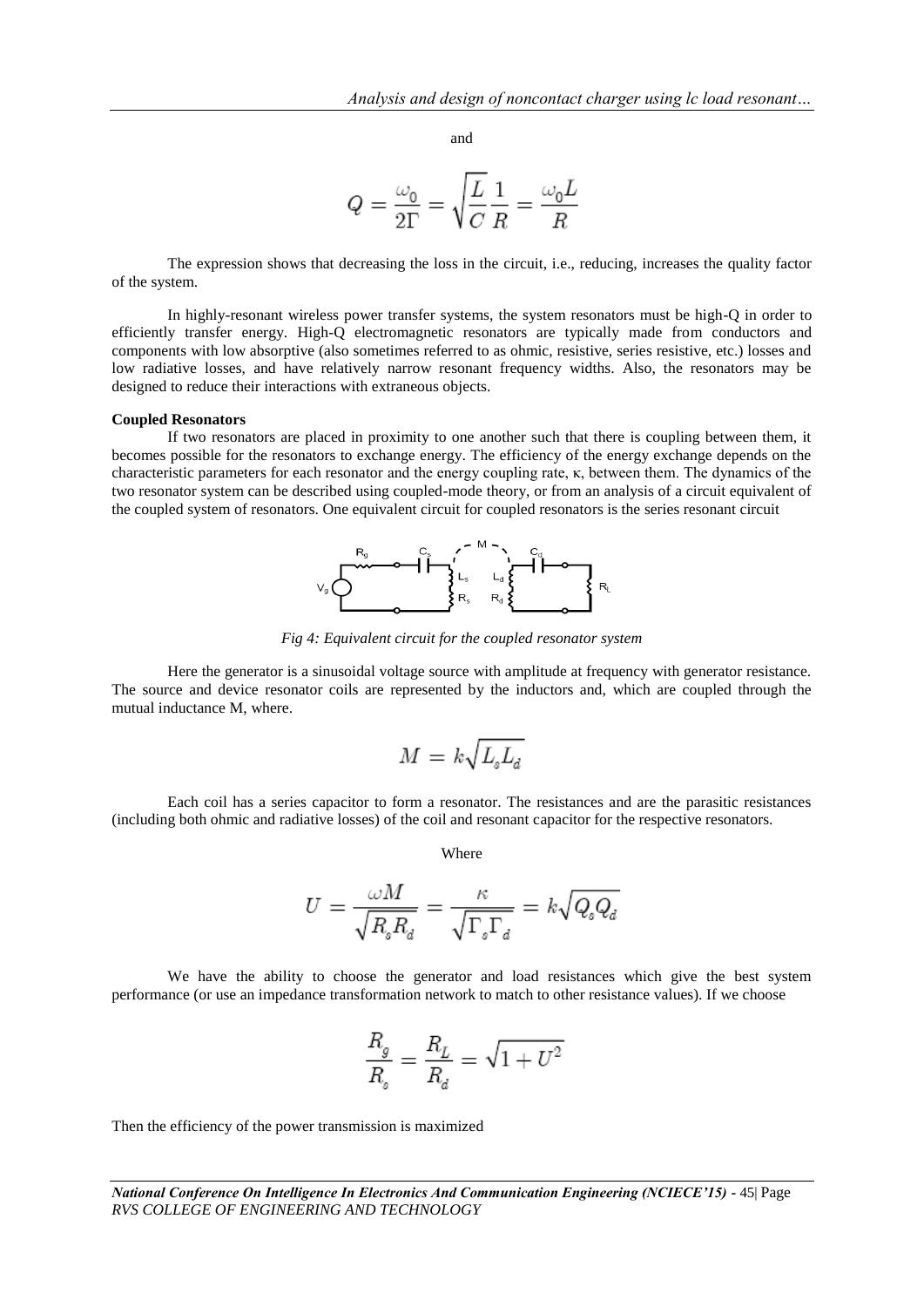and

$$
Q = \frac{\omega_0}{2\Gamma} = \sqrt{\frac{L}{C}} \frac{1}{R} = \frac{\omega_0 L}{R}
$$

The expression shows that decreasing the loss in the circuit, i.e., reducing, increases the quality factor of the system.

In highly-resonant wireless power transfer systems, the system resonators must be high-Q in order to efficiently transfer energy. High-Q electromagnetic resonators are typically made from conductors and components with low absorptive (also sometimes referred to as ohmic, resistive, series resistive, etc.) losses and low radiative losses, and have relatively narrow resonant frequency widths. Also, the resonators may be designed to reduce their interactions with extraneous objects.

#### **Coupled Resonators**

If two resonators are placed in proximity to one another such that there is coupling between them, it becomes possible for the resonators to exchange energy. The efficiency of the energy exchange depends on the characteristic parameters for each resonator and the energy coupling rate, κ, between them. The dynamics of the two resonator system can be described using coupled-mode theory, or from an analysis of a circuit equivalent of the coupled system of resonators. One equivalent circuit for coupled resonators is the series resonant circuit



*Fig 4: Equivalent circuit for the coupled resonator system*

Here the generator is a sinusoidal voltage source with amplitude at frequency with generator resistance. The source and device resonator coils are represented by the inductors and, which are coupled through the mutual inductance M, where.

$$
M = k \sqrt{L_{\rm s} L_d}
$$

Each coil has a series capacitor to form a resonator. The resistances and are the parasitic resistances (including both ohmic and radiative losses) of the coil and resonant capacitor for the respective resonators.

Where

$$
U = \frac{\omega M}{\sqrt{R_s R_d}} = \frac{\kappa}{\sqrt{\Gamma_s \Gamma_d}} = k \sqrt{Q_s Q_d}
$$

We have the ability to choose the generator and load resistances which give the best system performance (or use an impedance transformation network to match to other resistance values). If we choose

$$
\frac{R_g}{R_s} = \frac{R_L}{R_d} = \sqrt{1 + U^2}
$$

Then the efficiency of the power transmission is maximized

*National Conference On Intelligence In Electronics And Communication Engineering (NCIECE'15) -* 45| Page *RVS COLLEGE OF ENGINEERING AND TECHNOLOGY*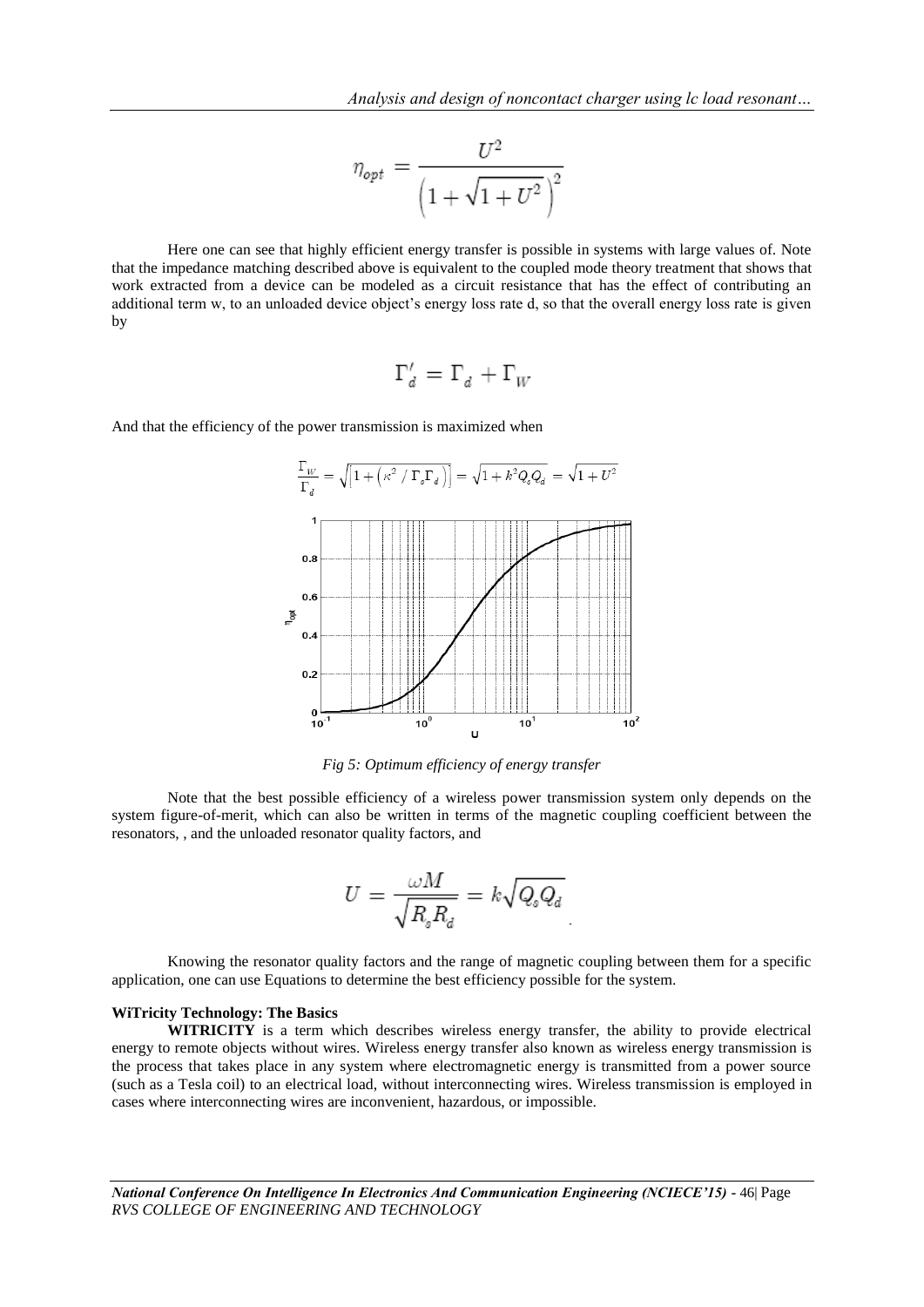$$
\eta_{opt}=\frac{U^2}{\left(1+\sqrt{1+U^2}\,\right)^{\!2}}
$$

Here one can see that highly efficient energy transfer is possible in systems with large values of. Note that the impedance matching described above is equivalent to the coupled mode theory treatment that shows that work extracted from a device can be modeled as a circuit resistance that has the effect of contributing an additional term w, to an unloaded device object's energy loss rate d, so that the overall energy loss rate is given by

$$
\Gamma'_d = \Gamma_d + \Gamma_W
$$

And that the efficiency of the power transmission is maximized when



*Fig 5: Optimum efficiency of energy transfer*

Note that the best possible efficiency of a wireless power transmission system only depends on the system figure-of-merit, which can also be written in terms of the magnetic coupling coefficient between the resonators, , and the unloaded resonator quality factors, and

$$
U = \frac{\omega M}{\sqrt{R_s R_d}} = k \sqrt{Q_s Q_d}
$$

Knowing the resonator quality factors and the range of magnetic coupling between them for a specific application, one can use Equations to determine the best efficiency possible for the system.

#### **WiTricity Technology: The Basics**

**WITRICITY** is a term which describes wireless energy transfer, the ability to provide electrical energy to remote objects without wires. Wireless energy transfer also known as wireless energy transmission is the process that takes place in any system where electromagnetic energy is transmitted from a power source (such as a Tesla coil) to an electrical load, without interconnecting wires. Wireless transmission is employed in cases where interconnecting wires are inconvenient, hazardous, or impossible.

*National Conference On Intelligence In Electronics And Communication Engineering (NCIECE'15) -* 46| Page *RVS COLLEGE OF ENGINEERING AND TECHNOLOGY*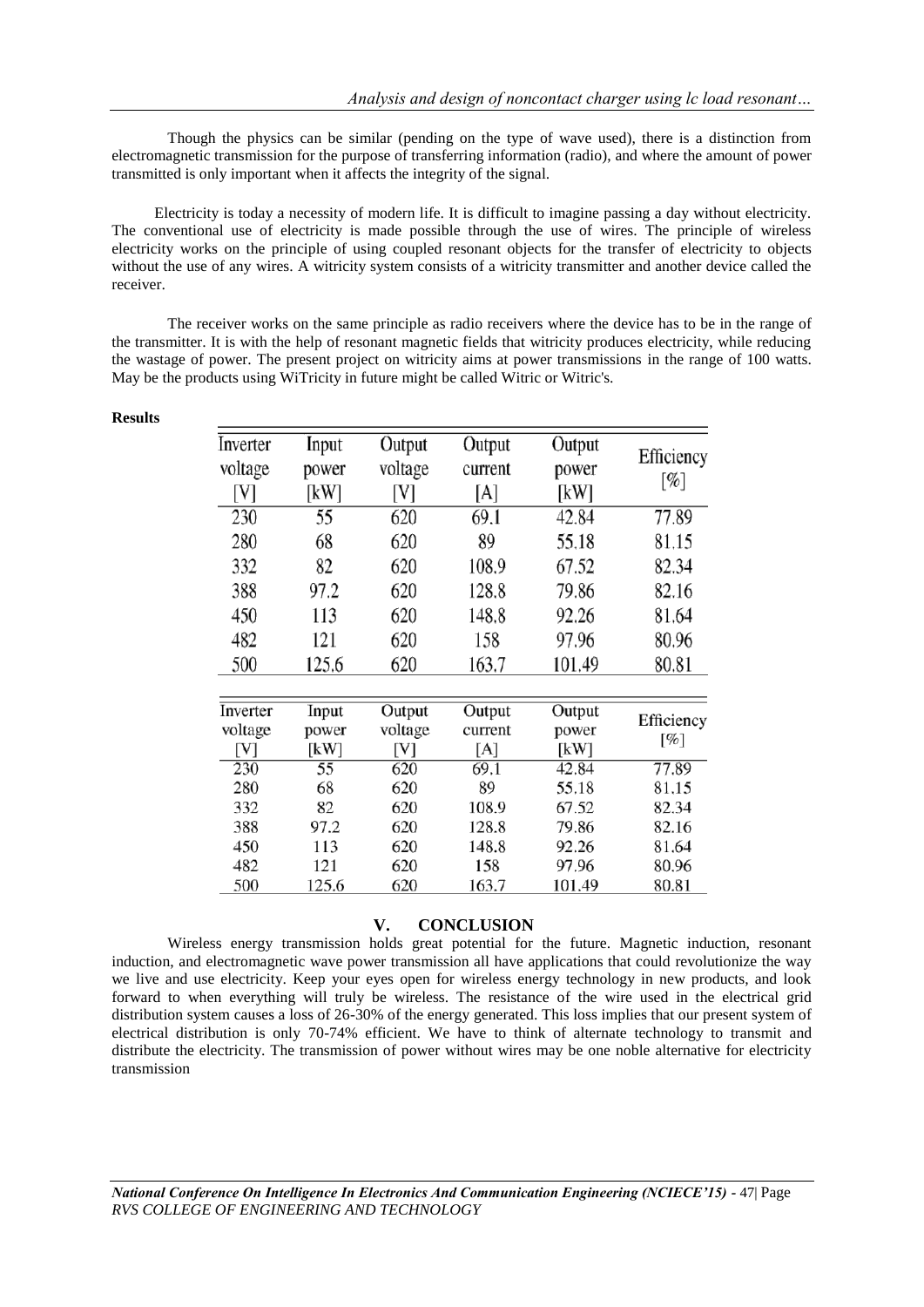Though the physics can be similar (pending on the type of wave used), there is a distinction from electromagnetic transmission for the purpose of transferring information (radio), and where the amount of power transmitted is only important when it affects the integrity of the signal.

 Electricity is today a necessity of modern life. It is difficult to imagine passing a day without electricity. The conventional use of electricity is made possible through the use of wires. The principle of wireless electricity works on the principle of using coupled resonant objects for the transfer of electricity to objects without the use of any wires. A witricity system consists of a witricity transmitter and another device called the receiver.

The receiver works on the same principle as radio receivers where the device has to be in the range of the transmitter. It is with the help of resonant magnetic fields that witricity produces electricity, while reducing the wastage of power. The present project on witricity aims at power transmissions in the range of 100 watts. May be the products using WiTricity in future might be called Witric or Witric's.

| Inverter | Input | Output  | Output  | Output | Efficiency<br>$\lceil\% \rceil$ |
|----------|-------|---------|---------|--------|---------------------------------|
| voltage  | power | voltage | current | power  |                                 |
| [V]      | [kW]  | [V]     | [A]     | [kW]   |                                 |
| 230      | 55    | 620     | 69.1    | 42.84  | 77.89                           |
| 280      | 68    | 620     | 89      | 55.18  | 81.15                           |
| 332      | 82    | 620     | 108.9   | 67.52  | 82.34                           |
| 388      | 97.2  | 620     | 128.8   | 79.86  | 82.16                           |
| 450      | 113   | 620     | 148.8   | 92.26  | 81.64                           |
| 482      | 121   | 620     | 158     | 97.96  | 80.96                           |
| 500      | 125.6 | 620     | 163.7   | 101.49 | 80.81                           |
|          |       |         |         |        |                                 |
| Inverter | Input | Output  | Output  | Output | Efficiency<br>[%]               |
| voltage  | power | voltage | current | power  |                                 |
| [V]      | [kW]  | [V]     | [A]     | [kW]   |                                 |
| 230      | 55    | 620     | 69.1    | 42.84  | 77.89                           |
| 280      | 68    | 620     | 89      | 55.18  | 81.15                           |
| 332      | 82    | 620     | 108.9   | 67.52  | 82.34                           |
| 388      | 97.2  | 620     | 128.8   | 79.86  | 82.16                           |
| 450      | 113   | 620     | 148.8   | 92.26  | 81.64                           |
| 482      | 121   | 620     | 158     | 97.96  | 80.96                           |
| 500      | 125.6 | 620     | 163.7   | 101.49 | 80.81                           |

# **Results**

### **V. CONCLUSION**

Wireless energy transmission holds great potential for the future. Magnetic induction, resonant induction, and electromagnetic wave power transmission all have applications that could revolutionize the way we live and use electricity. Keep your eyes open for wireless energy technology in new products, and look forward to when everything will truly be wireless. The resistance of the wire used in the electrical grid distribution system causes a loss of 26-30% of the energy generated. This loss implies that our present system of electrical distribution is only 70-74% efficient. We have to think of alternate technology to transmit and distribute the electricity. The transmission of power without wires may be one noble alternative for electricity transmission

*National Conference On Intelligence In Electronics And Communication Engineering (NCIECE'15) -* 47| Page *RVS COLLEGE OF ENGINEERING AND TECHNOLOGY*